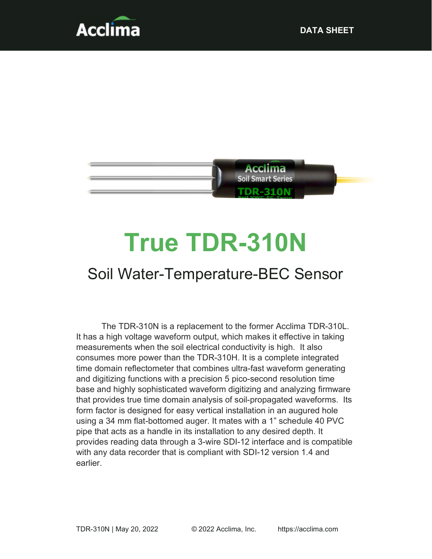



# True TDR-310N

# Soil Water-Temperature-BEC Sensor

The TDR-310N is a replacement to the former Acclima TDR-310L. It has a high voltage waveform output, which makes it effective in taking measurements when the soil electrical conductivity is high. It also consumes more power than the TDR-310H. It is a complete integrated time domain reflectometer that combines ultra-fast waveform generating and digitizing functions with a precision 5 pico-second resolution time base and highly sophisticated waveform digitizing and analyzing firmware that provides true time domain analysis of soil-propagated waveforms. Its form factor is designed for easy vertical installation in an augured hole using a 34 mm flat-bottomed auger. It mates with a 1" schedule 40 PVC pipe that acts as a handle in its installation to any desired depth. It provides reading data through a 3-wire SDI-12 interface and is compatible with any data recorder that is compliant with SDI-12 version 1.4 and earlier.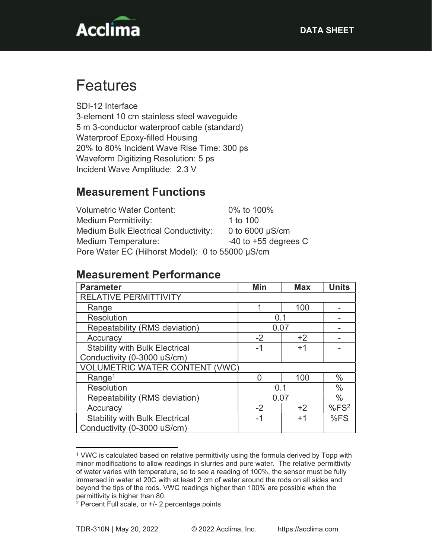

# Features

SDI-12 Interface 3-element 10 cm stainless steel waveguide 5 m 3-conductor waterproof cable (standard) Waterproof Epoxy-filled Housing 20% to 80% Incident Wave Rise Time: 300 ps Waveform Digitizing Resolution: 5 ps Incident Wave Amplitude: 2.3 V

### Measurement Functions

| <b>Volumetric Water Content:</b>                 | 0% to 100%               |  |  |
|--------------------------------------------------|--------------------------|--|--|
| Medium Permittivity:                             | 1 to 100                 |  |  |
| <b>Medium Bulk Electrical Conductivity:</b>      | 0 to $6000 \mu S/cm$     |  |  |
| Medium Temperature:                              | $-40$ to $+55$ degrees C |  |  |
| Pore Water EC (Hilhorst Model): 0 to 55000 µS/cm |                          |  |  |

#### Measurement Performance

| <b>Parameter</b>                      | Min  | <b>Max</b> | <b>Units</b>     |
|---------------------------------------|------|------------|------------------|
| <b>RELATIVE PERMITTIVITY</b>          |      |            |                  |
| Range                                 | ◢    | 100        |                  |
| Resolution                            |      | 0.1        |                  |
| Repeatability (RMS deviation)         | 0.07 |            |                  |
| Accuracy                              | $-2$ | $+2$       |                  |
| <b>Stability with Bulk Electrical</b> | -1   | $+1$       |                  |
| Conductivity (0-3000 uS/cm)           |      |            |                  |
| <b>VOLUMETRIC WATER CONTENT (VWC)</b> |      |            |                  |
| Range <sup>1</sup>                    |      | 100        | $\%$             |
| <b>Resolution</b>                     | 0.1  |            | $\%$             |
| Repeatability (RMS deviation)         | 0.07 |            | $\%$             |
| Accuracy                              | $-2$ | $+2$       | %FS <sup>2</sup> |
| <b>Stability with Bulk Electrical</b> | -1   | $+1$       | %FS              |
| Conductivity (0-3000 uS/cm)           |      |            |                  |

<sup>1</sup> VWC is calculated based on relative permittivity using the formula derived by Topp with minor modifications to allow readings in slurries and pure water. The relative permittivity of water varies with temperature, so to see a reading of 100%, the sensor must be fully immersed in water at 20C with at least 2 cm of water around the rods on all sides and beyond the tips of the rods. VWC readings higher than 100% are possible when the permittivity is higher than 80.

<sup>2</sup> Percent Full scale, or +/- 2 percentage points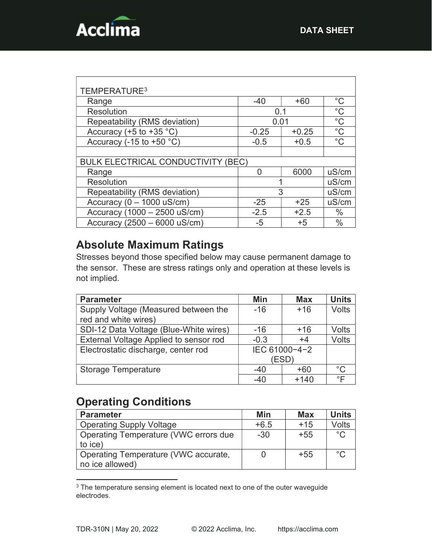

| TEMPERATURE <sup>3</sup>                  |         |         |               |
|-------------------------------------------|---------|---------|---------------|
| Range                                     | $-40$   | $+60$   | $^{\circ}$ C  |
| <b>Resolution</b>                         | 0.1     |         | $^{\circ}C$   |
| Repeatability (RMS deviation)             | 0.01    |         | $^{\circ}C$   |
| Accuracy (+5 to +35 $^{\circ}$ C)         | $-0.25$ | $+0.25$ | $^{\circ}C$   |
| Accuracy (-15 to +50 $°C$ )               | $-0.5$  | $+0.5$  | $^{\circ}$ C  |
|                                           |         |         |               |
| <b>BULK ELECTRICAL CONDUCTIVITY (BEC)</b> |         |         |               |
| Range                                     | O       | 6000    | uS/cm         |
| <b>Resolution</b>                         |         |         | uS/cm         |
| Repeatability (RMS deviation)             | 3       |         | uS/cm         |
| Accuracy ( $0 - 1000$ uS/cm)              | $-25$   | $+25$   | uS/cm         |
| Accuracy (1000 - 2500 uS/cm)              | $-2.5$  | $+2.5$  | $\frac{0}{0}$ |
| Accuracy (2500 - 6000 uS/cm)              | -5      | $+5$    | $\frac{0}{0}$ |

## Absolute Maximum Ratings

Stresses beyond those specified below may cause permanent damage to the sensor. These are stress ratings only and operation at these levels is not implied.

| <b>Parameter</b>                       | Min           | <b>Max</b> | <b>Units</b> |
|----------------------------------------|---------------|------------|--------------|
| Supply Voltage (Measured between the   | $-16$         | $+16$      | <b>Volts</b> |
| red and white wires)                   |               |            |              |
| SDI-12 Data Voltage (Blue-White wires) | $-16$         | +16        | Volts        |
| External Voltage Applied to sensor rod | $-0.3$        | $+4$       | Volts        |
| Electrostatic discharge, center rod    | IEC 61000-4-2 |            |              |
|                                        | <b>ESD</b> )  |            |              |
| <b>Storage Temperature</b>             | $-40$         | +60        | $^{\circ}$ C |
|                                        | -40           | $+140$     | ∘⊏           |

#### Operating Conditions

| <b>Parameter</b>                      | Min    | <b>Max</b> | <b>Units</b> |
|---------------------------------------|--------|------------|--------------|
| <b>Operating Supply Voltage</b>       | $+6.5$ | $+15$      | Volts        |
| Operating Temperature (VWC errors due | $-30$  | $+55$      | $^{\circ}$ C |
| to ice)                               |        |            |              |
| Operating Temperature (VWC accurate,  |        | $+55$      | °೧           |
| no ice allowed)                       |        |            |              |

<sup>&</sup>lt;sup>3</sup> The temperature sensing element is located next to one of the outer waveguide electrodes.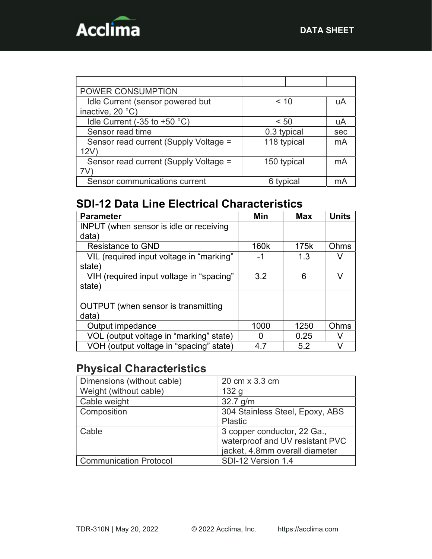

| POWER CONSUMPTION                     |             |         |     |
|---------------------------------------|-------------|---------|-----|
| Idle Current (sensor powered but      | $~<$ 10     |         | uA  |
| inactive, 20 °C)                      |             |         |     |
| Idle Current (-35 to +50 $°C$ )       | < 50        |         | uA  |
| Sensor read time                      | 0.3 typical |         | sec |
| Sensor read current (Supply Voltage = | 118 typical |         | mA  |
| 12V                                   |             |         |     |
| Sensor read current (Supply Voltage = | 150 typical |         | mA  |
|                                       |             |         |     |
| Sensor communications current         |             | typical |     |

# SDI-12 Data Line Electrical Characteristics

| <b>Parameter</b>                           | Min  | <b>Max</b> | <b>Units</b> |
|--------------------------------------------|------|------------|--------------|
| INPUT (when sensor is idle or receiving    |      |            |              |
| data)                                      |      |            |              |
| <b>Resistance to GND</b>                   | 160k | 175k       | Ohms         |
| VIL (required input voltage in "marking"   | -1   | 1.3        |              |
| state)                                     |      |            |              |
| VIH (required input voltage in "spacing"   | 3.2  | 6          | V            |
| state)                                     |      |            |              |
|                                            |      |            |              |
| <b>OUTPUT</b> (when sensor is transmitting |      |            |              |
| data)                                      |      |            |              |
| Output impedance                           | 1000 | 1250       | Ohms         |
| VOL (output voltage in "marking" state)    |      | 0.25       | V            |
| VOH (output voltage in "spacing" state)    | 4.7  | 5.2        |              |

## Physical Characteristics

| Dimensions (without cable)    | 20 cm x 3.3 cm                  |
|-------------------------------|---------------------------------|
| Weight (without cable)        | 132 <sub>q</sub>                |
| Cable weight                  | $32.7$ g/m                      |
| Composition                   | 304 Stainless Steel, Epoxy, ABS |
|                               | <b>Plastic</b>                  |
| Cable                         | 3 copper conductor, 22 Ga.,     |
|                               | waterproof and UV resistant PVC |
|                               | jacket, 4.8mm overall diameter  |
| <b>Communication Protocol</b> | SDI-12 Version 1.4              |